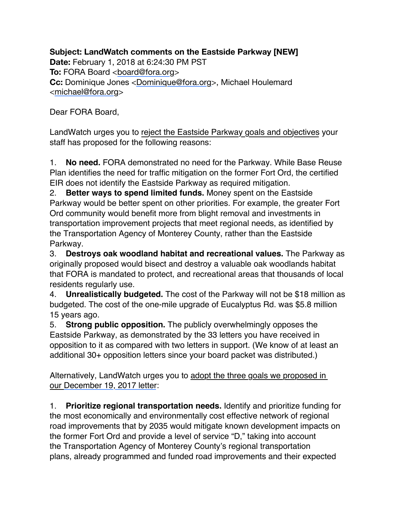**Subject: LandWatch comments on the Eastside Parkway [NEW] Date:** February 1, 2018 at 6:24:30 PM PST **To: FORA Board [<board@fora.org>](mailto:board@fora.org) Cc:** Dominique Jones <[Dominique@fora.org>](mailto:Dominique@fora.org), Michael Houlemard <[michael@fora.org](mailto:michael@fora.org)>

Dear FORA Board,

LandWatch urges you to reject the Eastside Parkway goals and objectives your staff has proposed for the following reasons:

1. **No need.** FORA demonstrated no need for the Parkway. While Base Reuse Plan identifies the need for traffic mitigation on the former Fort Ord, the certified EIR does not identify the Eastside Parkway as required mitigation.

2. **Better ways to spend limited funds.** Money spent on the Eastside Parkway would be better spent on other priorities. For example, the greater Fort Ord community would benefit more from blight removal and investments in transportation improvement projects that meet regional needs, as identified by the Transportation Agency of Monterey County, rather than the Eastside Parkway.

3. **Destroys oak woodland habitat and recreational values.** The Parkway as originally proposed would bisect and destroy a valuable oak woodlands habitat that FORA is mandated to protect, and recreational areas that thousands of local residents regularly use.

4. **Unrealistically budgeted.** The cost of the Parkway will not be \$18 million as budgeted. The cost of the one-mile upgrade of Eucalyptus Rd. was \$5.8 million 15 years ago.

5. **Strong public opposition.** The publicly overwhelmingly opposes the Eastside Parkway, as demonstrated by the 33 letters you have received in opposition to it as compared with two letters in support. (We know of at least an additional 30+ opposition letters since your board packet was distributed.)

Alternatively, LandWatch urges you to adopt the three goals we proposed in our [December 19, 2017 letter](http://www.landwatch.org/pages/issuesactions/fortord/121917-LW_FORA_Transportation_Goals.pdf):

1. **Prioritize regional transportation needs.** Identify and prioritize funding for the most economically and environmentally cost effective network of regional road improvements that by 2035 would mitigate known development impacts on the former Fort Ord and provide a level of service "D," taking into account the Transportation Agency of Monterey County's regional transportation plans, already programmed and funded road improvements and their expected